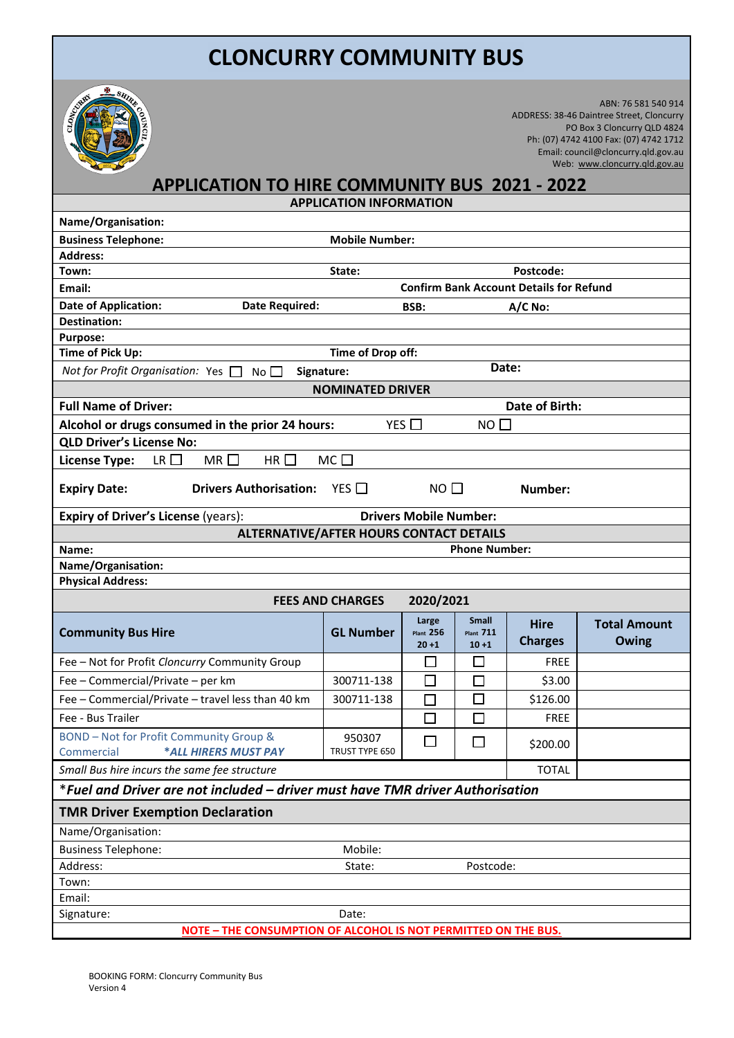# **CLONCURRY COMMUNITY BUS**



ABN: 76 581 540 914 ADDRESS: 38-46 Daintree Street, Cloncurry PO Box 3 Cloncurry QLD 4824 Ph: (07) 4742 4100 Fax: (07) 4742 1712 Email: council@cloncurry.qld.gov.au Web: [www.cloncurry.qld.gov.au](http://www.cloncurry.qld.gov.au/)

# **APPLICATION TO HIRE COMMUNITY BUS 2021 - 2022**

| <b>APPLICATION INFORMATION</b>                                                       |                     |                                       |                                       |                               |                              |  |
|--------------------------------------------------------------------------------------|---------------------|---------------------------------------|---------------------------------------|-------------------------------|------------------------------|--|
| Name/Organisation:                                                                   |                     |                                       |                                       |                               |                              |  |
| <b>Business Telephone:</b><br><b>Mobile Number:</b>                                  |                     |                                       |                                       |                               |                              |  |
| <b>Address:</b>                                                                      |                     |                                       |                                       |                               |                              |  |
| Town:                                                                                | State:<br>Postcode: |                                       |                                       |                               |                              |  |
| <b>Confirm Bank Account Details for Refund</b><br>Email:                             |                     |                                       |                                       |                               |                              |  |
| <b>Date of Application:</b><br><b>Date Required:</b>                                 |                     |                                       | BSB:<br>$A/C$ No:                     |                               |                              |  |
| <b>Destination:</b>                                                                  |                     |                                       |                                       |                               |                              |  |
| Purpose:                                                                             |                     |                                       |                                       |                               |                              |  |
| Time of Drop off:<br>Time of Pick Up:<br>Date:                                       |                     |                                       |                                       |                               |                              |  |
| Not for Profit Organisation: Yes $\Box$<br>Signature:<br>No $\square$                |                     |                                       |                                       |                               |                              |  |
| <b>NOMINATED DRIVER</b><br><b>Full Name of Driver:</b><br><b>Date of Birth:</b>      |                     |                                       |                                       |                               |                              |  |
| YES $\Box$                                                                           |                     |                                       |                                       |                               |                              |  |
| Alcohol or drugs consumed in the prior 24 hours:<br>$NO$ $\Box$                      |                     |                                       |                                       |                               |                              |  |
| <b>QLD Driver's License No:</b>                                                      |                     |                                       |                                       |                               |                              |  |
| $MC$ $\Box$<br>$MR$ $\square$<br>HR $\square$<br><b>License Type:</b><br>$LR$ $\Box$ |                     |                                       |                                       |                               |                              |  |
| <b>Drivers Authorisation:</b><br><b>Expiry Date:</b>                                 | YES $\Box$          | $NO$ $\Box$                           |                                       | Number:                       |                              |  |
| <b>Expiry of Driver's License (years):</b><br><b>Drivers Mobile Number:</b>          |                     |                                       |                                       |                               |                              |  |
| <b>ALTERNATIVE/AFTER HOURS CONTACT DETAILS</b>                                       |                     |                                       |                                       |                               |                              |  |
| <b>Phone Number:</b><br>Name:                                                        |                     |                                       |                                       |                               |                              |  |
| Name/Organisation:                                                                   |                     |                                       |                                       |                               |                              |  |
| <b>Physical Address:</b>                                                             |                     |                                       |                                       |                               |                              |  |
| 2020/2021<br><b>FEES AND CHARGES</b>                                                 |                     |                                       |                                       |                               |                              |  |
| <b>Community Bus Hire</b>                                                            | <b>GL Number</b>    | Large<br><b>Plant 256</b><br>$20 + 1$ | <b>Small</b><br>Plant 711<br>$10 + 1$ | <b>Hire</b><br><b>Charges</b> | <b>Total Amount</b><br>Owing |  |
| Fee - Not for Profit Cloncurry Community Group                                       |                     | $\Box$                                | $\Box$                                | <b>FREE</b>                   |                              |  |
| Fee - Commercial/Private - per km                                                    | 300711-138          | $\Box$                                | $\mathbf{I}$                          | \$3.00                        |                              |  |
| Fee - Commercial/Private - travel less than 40 km                                    | 300711-138          | $\Box$                                | $\Box$                                | \$126.00                      |                              |  |
| Fee - Bus Trailer                                                                    |                     | □                                     | П                                     | <b>FREE</b>                   |                              |  |
| BOND - Not for Profit Community Group &                                              | 950307              | $\Box$                                |                                       |                               |                              |  |
| *ALL HIRERS MUST PAY<br>Commercial                                                   | TRUST TYPE 650      |                                       | $\Box$                                | \$200.00                      |                              |  |
| Small Bus hire incurs the same fee structure                                         |                     |                                       |                                       | <b>TOTAL</b>                  |                              |  |
| *Fuel and Driver are not included – driver must have TMR driver Authorisation        |                     |                                       |                                       |                               |                              |  |
| <b>TMR Driver Exemption Declaration</b>                                              |                     |                                       |                                       |                               |                              |  |
| Name/Organisation:                                                                   |                     |                                       |                                       |                               |                              |  |
| <b>Business Telephone:</b>                                                           | Mobile:             |                                       |                                       |                               |                              |  |
| Address:                                                                             | State:<br>Postcode: |                                       |                                       |                               |                              |  |
| Town:                                                                                |                     |                                       |                                       |                               |                              |  |
| Email:                                                                               |                     |                                       |                                       |                               |                              |  |
| Signature:<br>Date:                                                                  |                     |                                       |                                       |                               |                              |  |
| NOTE - THE CONSUMPTION OF ALCOHOL IS NOT PERMITTED ON THE BUS.                       |                     |                                       |                                       |                               |                              |  |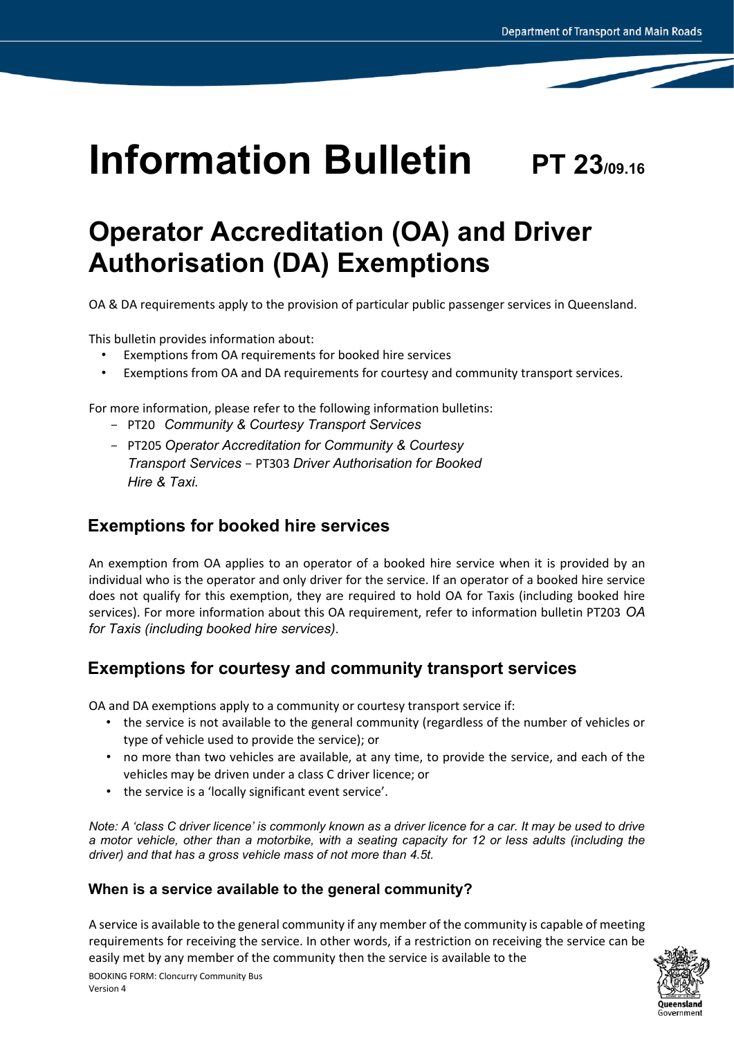# **Information Bulletin** PT 23/09.16



# **Operator Accreditation (OA) and Driver Authorisation (DA) Exemptions**

OA & DA requirements apply to the provision of particular public passenger services in Queensland.

This bulletin provides information about:

- Exemptions from OA requirements for booked hire services
- Exemptions from OA and DA requirements for courtesy and community transport services.

For more information, please refer to the following information bulletins:

- PT20 *Community & Courtesy Transport Services*
- PT205 *Operator Accreditation for Community & Courtesy Transport Services* - PT303 *Driver Authorisation for Booked Hire & Taxi*.

# **Exemptions for booked hire services**

An exemption from OA applies to an operator of a booked hire service when it is provided by an individual who is the operator and only driver for the service. If an operator of a booked hire service does not qualify for this exemption, they are required to hold OA for Taxis (including booked hire services). For more information about this OA requirement, refer to information bulletin PT203 *OA for Taxis (including booked hire services)*.

# **Exemptions for courtesy and community transport services**

OA and DA exemptions apply to a community or courtesy transport service if:

- the service is not available to the general community (regardless of the number of vehicles or type of vehicle used to provide the service); or
- no more than two vehicles are available, at any time, to provide the service, and each of the vehicles may be driven under a class C driver licence; or
- the service is a 'locally significant event service'.

*Note: A 'class C driver licence' is commonly known as a driver licence for a car. It may be used to drive a motor vehicle, other than a motorbike, with a seating capacity for 12 or less adults (including the driver) and that has a gross vehicle mass of not more than 4.5t.* 

#### **When is a service available to the general community?**

A service is available to the general community if any member of the community is capable of meeting requirements for receiving the service. In other words, if a restriction on receiving the service can be easily met by any member of the community then the service is available to the

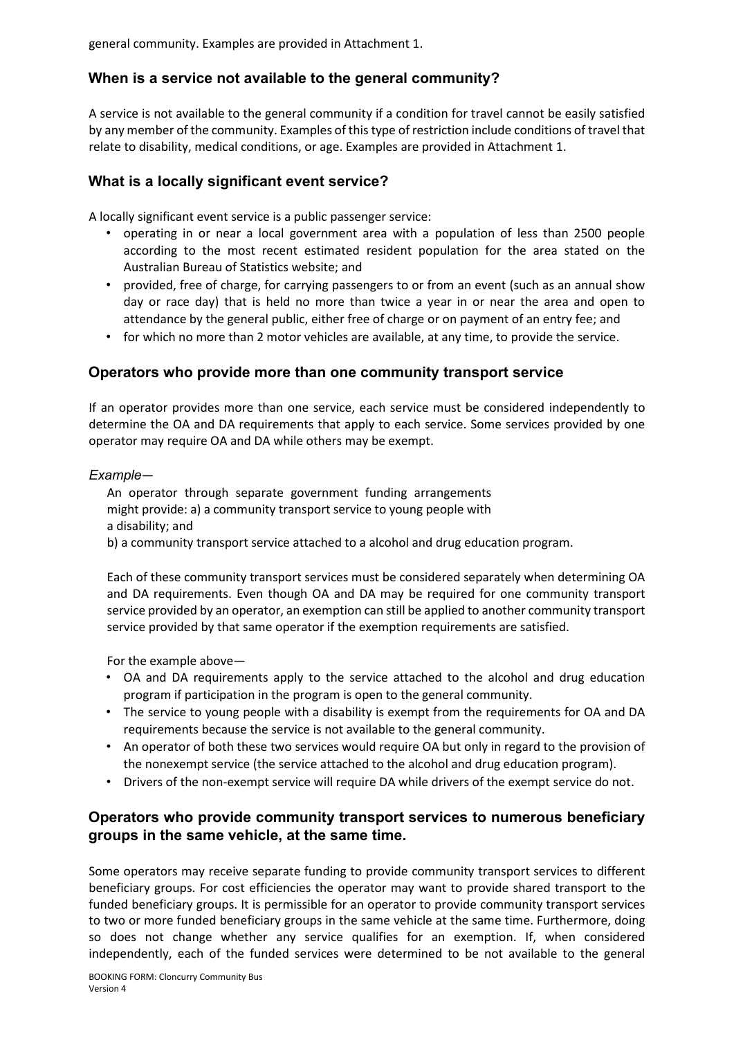general community. Examples are provided in Attachment 1.

#### **When is a service not available to the general community?**

A service is not available to the general community if a condition for travel cannot be easily satisfied by any member of the community. Examples of this type of restriction include conditions of travel that relate to disability, medical conditions, or age. Examples are provided in Attachment 1.

#### **What is a locally significant event service?**

A locally significant event service is a public passenger service:

- operating in or near a local government area with a population of less than 2500 people according to the most recent estimated resident population for the area stated on the Australian Bureau of Statistics website; and
- provided, free of charge, for carrying passengers to or from an event (such as an annual show day or race day) that is held no more than twice a year in or near the area and open to attendance by the general public, either free of charge or on payment of an entry fee; and
- for which no more than 2 motor vehicles are available, at any time, to provide the service.

#### **Operators who provide more than one community transport service**

If an operator provides more than one service, each service must be considered independently to determine the OA and DA requirements that apply to each service. Some services provided by one operator may require OA and DA while others may be exempt.

#### *Example*—

An operator through separate government funding arrangements might provide: a) a community transport service to young people with a disability; and

b) a community transport service attached to a alcohol and drug education program.

Each of these community transport services must be considered separately when determining OA and DA requirements. Even though OA and DA may be required for one community transport service provided by an operator, an exemption can still be applied to another community transport service provided by that same operator if the exemption requirements are satisfied.

For the example above—

- OA and DA requirements apply to the service attached to the alcohol and drug education program if participation in the program is open to the general community.
- The service to young people with a disability is exempt from the requirements for OA and DA requirements because the service is not available to the general community.
- An operator of both these two services would require OA but only in regard to the provision of the nonexempt service (the service attached to the alcohol and drug education program).
- Drivers of the non-exempt service will require DA while drivers of the exempt service do not.

#### **Operators who provide community transport services to numerous beneficiary groups in the same vehicle, at the same time.**

Some operators may receive separate funding to provide community transport services to different beneficiary groups. For cost efficiencies the operator may want to provide shared transport to the funded beneficiary groups. It is permissible for an operator to provide community transport services to two or more funded beneficiary groups in the same vehicle at the same time. Furthermore, doing so does not change whether any service qualifies for an exemption. If, when considered independently, each of the funded services were determined to be not available to the general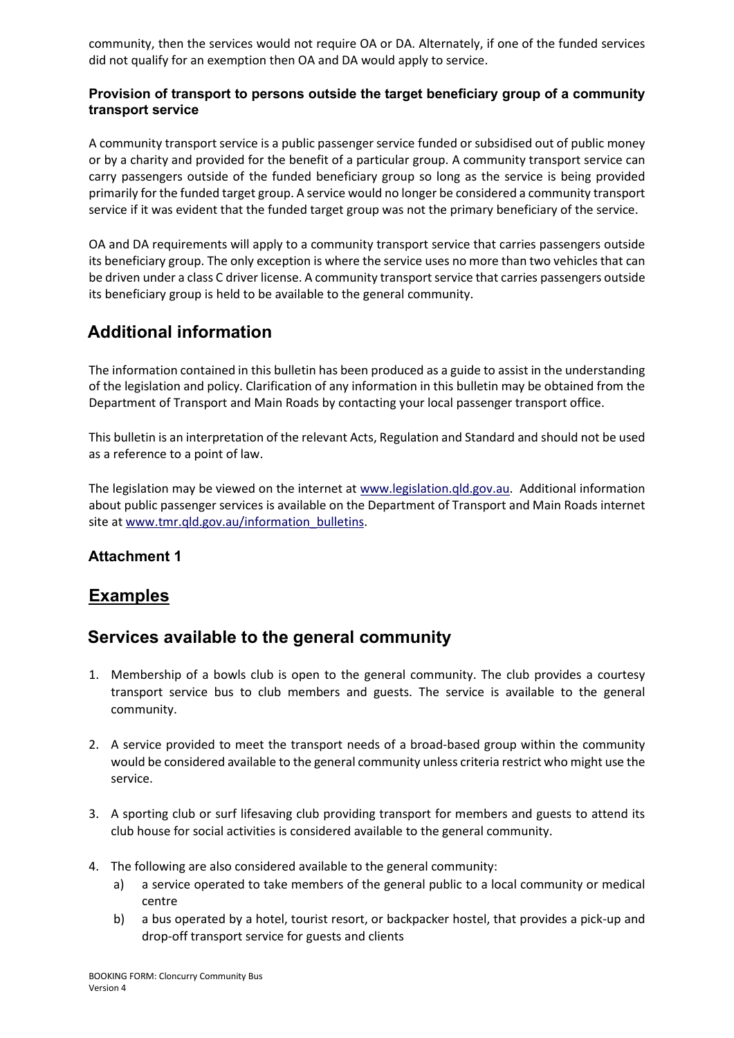community, then the services would not require OA or DA. Alternately, if one of the funded services did not qualify for an exemption then OA and DA would apply to service.

#### **Provision of transport to persons outside the target beneficiary group of a community transport service**

A community transport service is a public passenger service funded or subsidised out of public money or by a charity and provided for the benefit of a particular group. A community transport service can carry passengers outside of the funded beneficiary group so long as the service is being provided primarily for the funded target group. A service would no longer be considered a community transport service if it was evident that the funded target group was not the primary beneficiary of the service.

OA and DA requirements will apply to a community transport service that carries passengers outside its beneficiary group. The only exception is where the service uses no more than two vehicles that can be driven under a class C driver license. A community transport service that carries passengers outside its beneficiary group is held to be available to the general community.

# **Additional information**

The information contained in this bulletin has been produced as a guide to assist in the understanding of the legislation and policy. Clarification of any information in this bulletin may be obtained from the Department of Transport and Main Roads by contacting your local passenger transport office.

This bulletin is an interpretation of the relevant Acts, Regulation and Standard and should not be used as a reference to a point of law.

The legislation may be viewed on the internet at [www.legislation.qld.gov.au.](http://www.legislation.qld.gov.au/) Additional information about public passenger services is available on the Department of Transport and Main Roads internet site at www.tmr.qld.gov.au/information\_bulletins.

#### **Attachment 1**

### **Examples**

# **Services available to the general community**

- 1. Membership of a bowls club is open to the general community. The club provides a courtesy transport service bus to club members and guests. The service is available to the general community.
- 2. A service provided to meet the transport needs of a broad-based group within the community would be considered available to the general community unless criteria restrict who might use the service.
- 3. A sporting club or surf lifesaving club providing transport for members and guests to attend its club house for social activities is considered available to the general community.
- 4. The following are also considered available to the general community:
	- a) a service operated to take members of the general public to a local community or medical centre
	- b) a bus operated by a hotel, tourist resort, or backpacker hostel, that provides a pick-up and drop-off transport service for guests and clients